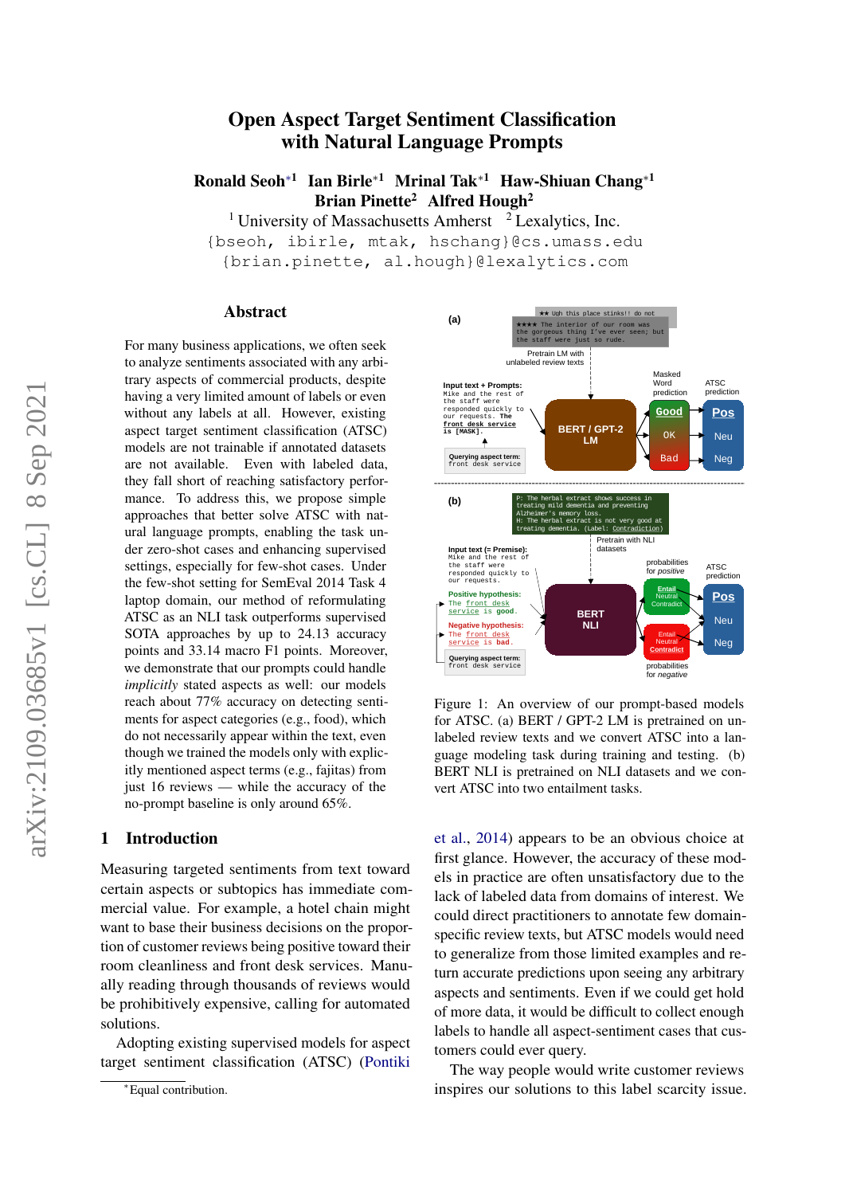# Open Aspect Target Sentiment Classification with Natural Language Prompts

Ronald Seoh<sup>∗1</sup> Ian Birle<sup>∗1</sup> Mrinal Tak<sup>∗1</sup> Haw-Shiuan Chang<sup>∗1</sup> Brian Pinette<sup>2</sup> Alfred Hough<sup>2</sup>

<sup>1</sup> University of Massachusetts Amherst  $2$  Lexalytics, Inc.

{bseoh, ibirle, mtak, hschang}@cs.umass.edu {brian.pinette, al.hough}@lexalytics.com

#### Abstract

For many business applications, we often seek to analyze sentiments associated with any arbitrary aspects of commercial products, despite having a very limited amount of labels or even without any labels at all. However, existing aspect target sentiment classification (ATSC) models are not trainable if annotated datasets are not available. Even with labeled data, they fall short of reaching satisfactory performance. To address this, we propose simple approaches that better solve ATSC with natural language prompts, enabling the task under zero-shot cases and enhancing supervised settings, especially for few-shot cases. Under the few-shot setting for SemEval 2014 Task 4 laptop domain, our method of reformulating ATSC as an NLI task outperforms supervised SOTA approaches by up to 24.13 accuracy points and 33.14 macro F1 points. Moreover, we demonstrate that our prompts could handle *implicitly* stated aspects as well: our models reach about 77% accuracy on detecting sentiments for aspect categories (e.g., food), which do not necessarily appear within the text, even though we trained the models only with explicitly mentioned aspect terms (e.g., fajitas) from just 16 reviews — while the accuracy of the no-prompt baseline is only around 65%.

# 1 Introduction

Measuring targeted sentiments from text toward certain aspects or subtopics has immediate commercial value. For example, a hotel chain might want to base their business decisions on the proportion of customer reviews being positive toward their room cleanliness and front desk services. Manually reading through thousands of reviews would be prohibitively expensive, calling for automated solutions.

Adopting existing supervised models for aspect target sentiment classification (ATSC) [\(Pontiki](#page-5-0)

<span id="page-0-0"></span>

Figure 1: An overview of our prompt-based models for ATSC. (a) BERT / GPT-2 LM is pretrained on unlabeled review texts and we convert ATSC into a language modeling task during training and testing. (b) BERT NLI is pretrained on NLI datasets and we convert ATSC into two entailment tasks.

[et al.,](#page-5-0) [2014\)](#page-5-0) appears to be an obvious choice at first glance. However, the accuracy of these models in practice are often unsatisfactory due to the lack of labeled data from domains of interest. We could direct practitioners to annotate few domainspecific review texts, but ATSC models would need to generalize from those limited examples and return accurate predictions upon seeing any arbitrary aspects and sentiments. Even if we could get hold of more data, it would be difficult to collect enough labels to handle all aspect-sentiment cases that customers could ever query.

The way people would write customer reviews inspires our solutions to this label scarcity issue.

<sup>∗</sup>[Equal contribution.](#page-5-0)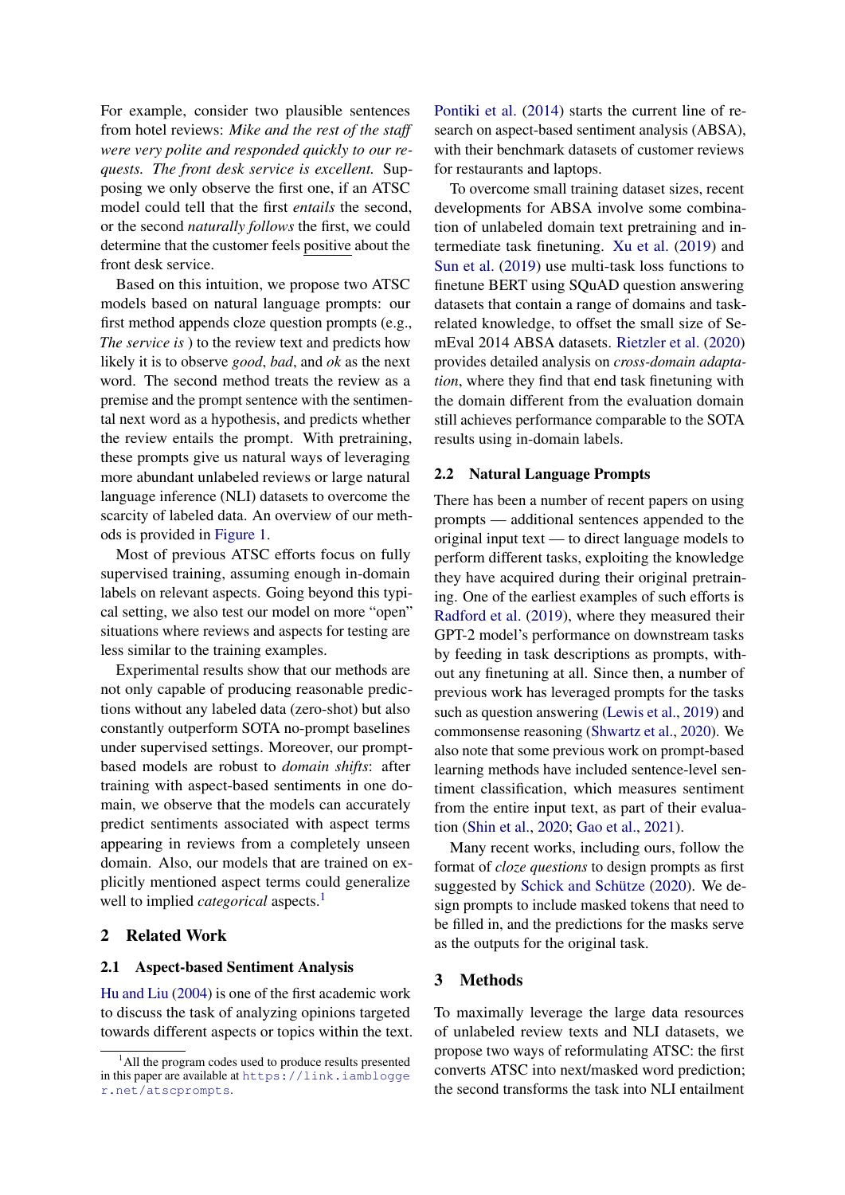For example, consider two plausible sentences from hotel reviews: *Mike and the rest of the staff were very polite and responded quickly to our requests. The front desk service is excellent.* Supposing we only observe the first one, if an ATSC model could tell that the first *entails* the second, or the second *naturally follows* the first, we could determine that the customer feels positive about the front desk service.

Based on this intuition, we propose two ATSC models based on natural language prompts: our first method appends cloze question prompts (e.g., *The service is* ) to the review text and predicts how likely it is to observe *good*, *bad*, and *ok* as the next word. The second method treats the review as a premise and the prompt sentence with the sentimental next word as a hypothesis, and predicts whether the review entails the prompt. With pretraining, these prompts give us natural ways of leveraging more abundant unlabeled reviews or large natural language inference (NLI) datasets to overcome the scarcity of labeled data. An overview of our methods is provided in [Figure 1.](#page-0-0)

Most of previous ATSC efforts focus on fully supervised training, assuming enough in-domain labels on relevant aspects. Going beyond this typical setting, we also test our model on more "open" situations where reviews and aspects for testing are less similar to the training examples.

Experimental results show that our methods are not only capable of producing reasonable predictions without any labeled data (zero-shot) but also constantly outperform SOTA no-prompt baselines under supervised settings. Moreover, our promptbased models are robust to *domain shifts*: after training with aspect-based sentiments in one domain, we observe that the models can accurately predict sentiments associated with aspect terms appearing in reviews from a completely unseen domain. Also, our models that are trained on explicitly mentioned aspect terms could generalize well to implied *categorical* aspects.<sup>[1](#page-1-0)</sup>

#### 2 Related Work

#### 2.1 Aspect-based Sentiment Analysis

[Hu and Liu](#page-5-1) [\(2004\)](#page-5-1) is one of the first academic work to discuss the task of analyzing opinions targeted towards different aspects or topics within the text. [Pontiki et al.](#page-5-0) [\(2014\)](#page-5-0) starts the current line of research on aspect-based sentiment analysis (ABSA), with their benchmark datasets of customer reviews for restaurants and laptops.

To overcome small training dataset sizes, recent developments for ABSA involve some combination of unlabeled domain text pretraining and intermediate task finetuning. [Xu et al.](#page-6-0) [\(2019\)](#page-6-0) and [Sun et al.](#page-5-2) [\(2019\)](#page-5-2) use multi-task loss functions to finetune BERT using SQuAD question answering datasets that contain a range of domains and taskrelated knowledge, to offset the small size of SemEval 2014 ABSA datasets. [Rietzler et al.](#page-5-3) [\(2020\)](#page-5-3) provides detailed analysis on *cross-domain adaptation*, where they find that end task finetuning with the domain different from the evaluation domain still achieves performance comparable to the SOTA results using in-domain labels.

## 2.2 Natural Language Prompts

There has been a number of recent papers on using prompts — additional sentences appended to the original input text — to direct language models to perform different tasks, exploiting the knowledge they have acquired during their original pretraining. One of the earliest examples of such efforts is [Radford et al.](#page-5-4) [\(2019\)](#page-5-4), where they measured their GPT-2 model's performance on downstream tasks by feeding in task descriptions as prompts, without any finetuning at all. Since then, a number of previous work has leveraged prompts for the tasks such as question answering [\(Lewis et al.,](#page-5-5) [2019\)](#page-5-5) and commonsense reasoning [\(Shwartz et al.,](#page-5-6) [2020\)](#page-5-6). We also note that some previous work on prompt-based learning methods have included sentence-level sentiment classification, which measures sentiment from the entire input text, as part of their evaluation [\(Shin et al.,](#page-5-7) [2020;](#page-5-7) [Gao et al.,](#page-4-0) [2021\)](#page-4-0).

Many recent works, including ours, follow the format of *cloze questions* to design prompts as first suggested by [Schick and Schütze](#page-5-8) [\(2020\)](#page-5-8). We design prompts to include masked tokens that need to be filled in, and the predictions for the masks serve as the outputs for the original task.

#### 3 Methods

To maximally leverage the large data resources of unlabeled review texts and NLI datasets, we propose two ways of reformulating ATSC: the first converts ATSC into next/masked word prediction; the second transforms the task into NLI entailment

<span id="page-1-0"></span><sup>&</sup>lt;sup>1</sup>All the program codes used to produce results presented in this paper are available at [https://link.iamblogge](https://link.iamblogger.net/atscprompts) [r.net/atscprompts](https://link.iamblogger.net/atscprompts).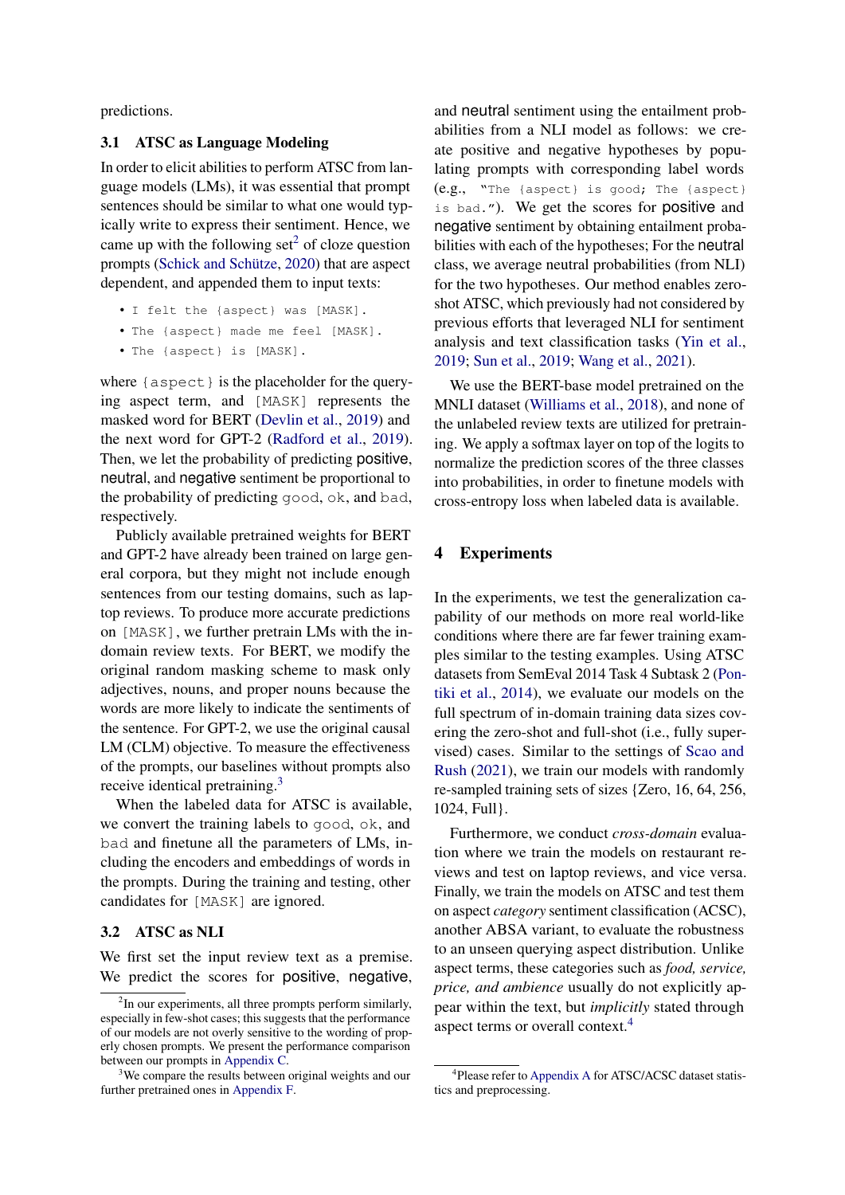predictions.

#### 3.1 ATSC as Language Modeling

In order to elicit abilities to perform ATSC from language models (LMs), it was essential that prompt sentences should be similar to what one would typically write to express their sentiment. Hence, we came up with the following  $set<sup>2</sup>$  $set<sup>2</sup>$  $set<sup>2</sup>$  of cloze question prompts [\(Schick and Schütze,](#page-5-8) [2020\)](#page-5-8) that are aspect dependent, and appended them to input texts:

```
• I felt the {aspect} was [MASK].
```

```
• The {aspect} made me feel [MASK].
```

```
• The {aspect} is [MASK].
```
where  $\{$  aspect  $\}$  is the placeholder for the querying aspect term, and [MASK] represents the masked word for BERT [\(Devlin et al.,](#page-4-1) [2019\)](#page-4-1) and the next word for GPT-2 [\(Radford et al.,](#page-5-4) [2019\)](#page-5-4). Then, we let the probability of predicting positive, neutral, and negative sentiment be proportional to the probability of predicting good, ok, and bad, respectively.

Publicly available pretrained weights for BERT and GPT-2 have already been trained on large general corpora, but they might not include enough sentences from our testing domains, such as laptop reviews. To produce more accurate predictions on [MASK], we further pretrain LMs with the indomain review texts. For BERT, we modify the original random masking scheme to mask only adjectives, nouns, and proper nouns because the words are more likely to indicate the sentiments of the sentence. For GPT-2, we use the original causal LM (CLM) objective. To measure the effectiveness of the prompts, our baselines without prompts also receive identical pretraining.[3](#page-2-1)

When the labeled data for ATSC is available, we convert the training labels to good, ok, and bad and finetune all the parameters of LMs, including the encoders and embeddings of words in the prompts. During the training and testing, other candidates for [MASK] are ignored.

# 3.2 ATSC as NLI

We first set the input review text as a premise. We predict the scores for positive, negative, and neutral sentiment using the entailment probabilities from a NLI model as follows: we create positive and negative hypotheses by populating prompts with corresponding label words (e.g., "The {aspect} is good; The {aspect} is bad."). We get the scores for positive and negative sentiment by obtaining entailment probabilities with each of the hypotheses; For the neutral class, we average neutral probabilities (from NLI) for the two hypotheses. Our method enables zeroshot ATSC, which previously had not considered by previous efforts that leveraged NLI for sentiment analysis and text classification tasks [\(Yin et al.,](#page-6-1) [2019;](#page-6-1) [Sun et al.,](#page-5-2) [2019;](#page-5-2) [Wang et al.,](#page-5-9) [2021\)](#page-5-9).

We use the BERT-base model pretrained on the MNLI dataset [\(Williams et al.,](#page-5-10) [2018\)](#page-5-10), and none of the unlabeled review texts are utilized for pretraining. We apply a softmax layer on top of the logits to normalize the prediction scores of the three classes into probabilities, in order to finetune models with cross-entropy loss when labeled data is available.

# 4 Experiments

In the experiments, we test the generalization capability of our methods on more real world-like conditions where there are far fewer training examples similar to the testing examples. Using ATSC datasets from SemEval 2014 Task 4 Subtask 2 [\(Pon](#page-5-0)[tiki et al.,](#page-5-0) [2014\)](#page-5-0), we evaluate our models on the full spectrum of in-domain training data sizes covering the zero-shot and full-shot (i.e., fully supervised) cases. Similar to the settings of [Scao and](#page-5-11) [Rush](#page-5-11) [\(2021\)](#page-5-11), we train our models with randomly re-sampled training sets of sizes {Zero, 16, 64, 256, 1024, Full}.

Furthermore, we conduct *cross-domain* evaluation where we train the models on restaurant reviews and test on laptop reviews, and vice versa. Finally, we train the models on ATSC and test them on aspect *category* sentiment classification (ACSC), another ABSA variant, to evaluate the robustness to an unseen querying aspect distribution. Unlike aspect terms, these categories such as *food, service, price, and ambience* usually do not explicitly appear within the text, but *implicitly* stated through aspect terms or overall context.[4](#page-2-2)

<span id="page-2-0"></span><sup>&</sup>lt;sup>2</sup>In our experiments, all three prompts perform similarly, especially in few-shot cases; this suggests that the performance of our models are not overly sensitive to the wording of properly chosen prompts. We present the performance comparison between our prompts in [Appendix C.](#page-8-0)

<span id="page-2-1"></span>We compare the results between original weights and our further pretrained ones in [Appendix F.](#page-9-0)

<span id="page-2-2"></span><sup>4</sup> Please refer to [Appendix A](#page-7-0) for ATSC/ACSC dataset statistics and preprocessing.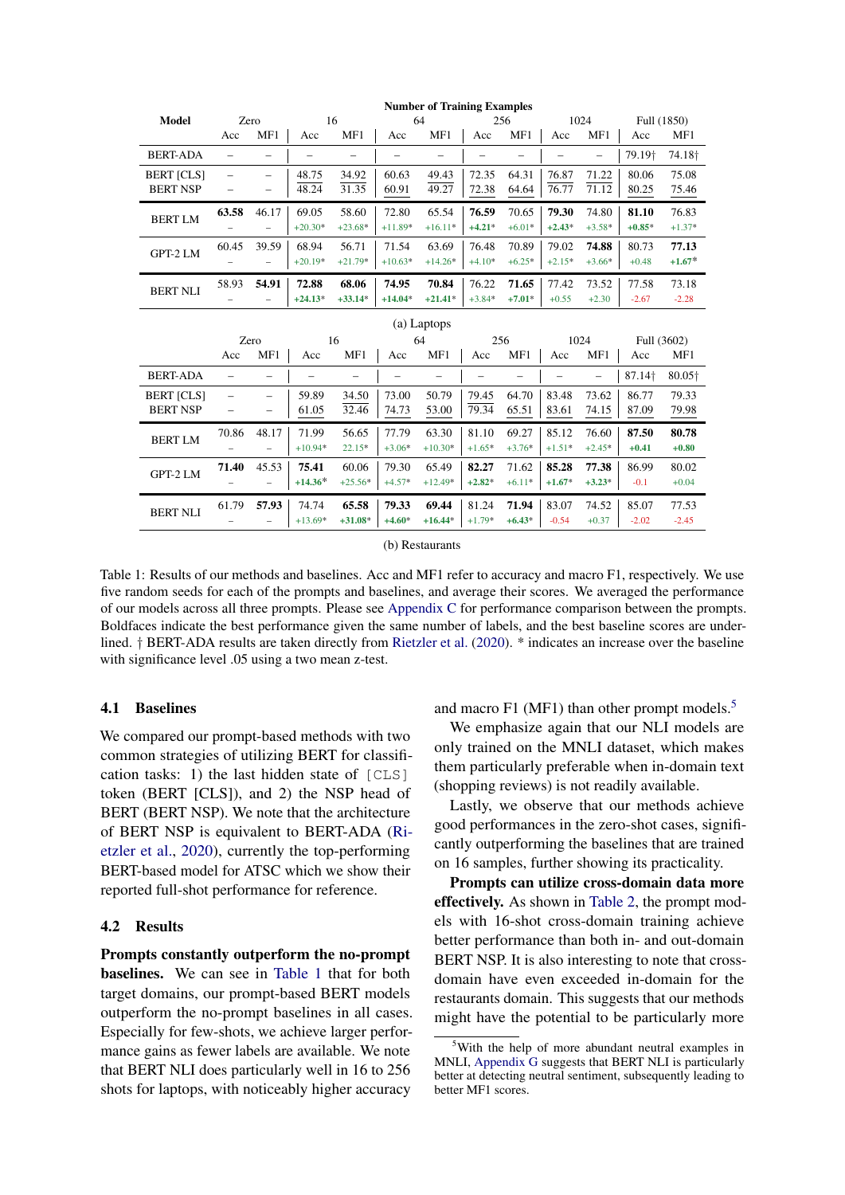<span id="page-3-0"></span>

| <b>Number of Training Examples</b> |                          |                          |                          |                          |                          |                          |                          |                          |                          |                          |                    |                    |
|------------------------------------|--------------------------|--------------------------|--------------------------|--------------------------|--------------------------|--------------------------|--------------------------|--------------------------|--------------------------|--------------------------|--------------------|--------------------|
| <b>Model</b>                       | Zero                     |                          | 16                       |                          |                          | 64                       |                          | 256                      |                          | 1024                     |                    | Full (1850)        |
|                                    | Acc                      | MF1                      | Acc                      | MF1                      | Acc                      | MF1                      | Acc                      | MF1                      | Acc                      | MF1                      | Acc                | MF1                |
| <b>BERT-ADA</b>                    | $\overline{\phantom{0}}$ | $\overline{\phantom{0}}$ |                          | $\overline{\phantom{0}}$ | $\overline{\phantom{0}}$ |                          | $\overline{\phantom{0}}$ |                          | $\overline{\phantom{0}}$ | $\overline{\phantom{0}}$ | 79.19†             | 74.18 <sup>+</sup> |
| <b>BERT [CLS]</b>                  | $\overline{\phantom{0}}$ | $\overline{\phantom{0}}$ | 48.75                    | 34.92                    | 60.63                    | 49.43                    | 72.35                    | 64.31                    | 76.87                    | 71.22                    | 80.06              | 75.08              |
| <b>BERT NSP</b>                    | $\overline{\phantom{0}}$ | -                        | 48.24                    | 31.35                    | 60.91                    | 49.27                    | 72.38                    | 64.64                    | 76.77                    | 71.12                    | 80.25              | 75.46              |
| <b>BERTLM</b>                      | 63.58                    | 46.17                    | 69.05                    | 58.60                    | 72.80                    | 65.54                    | 76.59                    | 70.65                    | 79.30                    | 74.80                    | 81.10              | 76.83              |
|                                    |                          |                          | $+20.30*$                | $+23.68*$                | $+11.89*$                | $+16.11*$                | $+4.21*$                 | $+6.01*$                 | $+2.43*$                 | $+3.58*$                 | $+0.85*$           | $+1.37*$           |
| GPT-2 LM                           | 60.45                    | 39.59                    | 68.94                    | 56.71                    | 71.54                    | 63.69                    | 76.48                    | 70.89                    | 79.02                    | 74.88                    | 80.73              | 77.13              |
|                                    |                          | $\overline{\phantom{0}}$ | $+20.19*$                | $+21.79*$                | $+10.63*$                | $+14.26*$                | $+4.10*$                 | $+6.25*$                 | $+2.15*$                 | $+3.66*$                 | $+0.48$            | $+1.67*$           |
| <b>BERT NLI</b>                    | 58.93                    | 54.91                    | 72.88                    | 68.06                    | 74.95                    | 70.84                    | 76.22                    | 71.65                    | 77.42                    | 73.52                    | 77.58              | 73.18              |
|                                    |                          |                          | $+24.13*$                | $+33.14*$                | $+14.04*$                | $+21.41*$                | $+3.84*$                 | $+7.01*$                 | $+0.55$                  | $+2.30$                  | $-2.67$            | $-2.28$            |
| (a) Laptops                        |                          |                          |                          |                          |                          |                          |                          |                          |                          |                          |                    |                    |
|                                    | Zero                     |                          |                          | 16                       |                          | 64                       | 256                      |                          | 1024                     |                          | Full (3602)        |                    |
|                                    | Acc                      | MF1                      | Acc                      | MF1                      | Acc                      | MF1                      | Acc                      | MF1                      | Acc                      | MF1                      | Acc                | MF1                |
| <b>BERT-ADA</b>                    | $\overline{\phantom{0}}$ | $\overline{\phantom{0}}$ | $\overline{\phantom{0}}$ | $\overline{\phantom{0}}$ | $\overline{\phantom{0}}$ | $\overline{\phantom{0}}$ | $\qquad \qquad -$        | $\overline{\phantom{0}}$ | $\qquad \qquad -$        | $\overline{\phantom{0}}$ | 87.14 <sup>+</sup> | 80.05+             |
| <b>BERT [CLS]</b>                  | $\overline{\phantom{0}}$ | $\overline{\phantom{0}}$ | 59.89                    | 34.50                    | 73.00                    | 50.79                    | 79.45                    | 64.70                    | 83.48                    | 73.62                    | 86.77              | 79.33              |
| <b>BERT NSP</b>                    | $\qquad \qquad -$        |                          | 61.05                    | 32.46                    | 74.73                    | 53.00                    | 79.34                    | 65.51                    | 83.61                    | 74.15                    | 87.09              | 79.98              |
| <b>BERT LM</b>                     | 70.86                    | 48.17                    | 71.99                    | 56.65                    | 77.79                    | 63.30                    | 81.10                    | 69.27                    | 85.12                    | 76.60                    | 87.50              | 80.78              |
|                                    |                          | $\overline{\phantom{0}}$ | $+10.94*$                | 22.15*                   | $+3.06*$                 | $+10.30*$                | $+1.65*$                 | $+3.76*$                 | $+1.51*$                 | $+2.45*$                 | $+0.41$            | $+0.80$            |
| GPT-2 LM                           | 71.40                    | 45.53                    | 75.41                    | 60.06                    | 79.30                    | 65.49                    | 82.27                    | 71.62                    | 85.28                    | 77.38                    | 86.99              | 80.02              |
|                                    |                          | $\overline{\phantom{0}}$ | $+14.36*$                | $+25.56*$                | $+4.57*$                 | $+12.49*$                | $+2.82*$                 | $+6.11*$                 | $+1.67*$                 | $+3.23*$                 | $-0.1$             | $+0.04$            |
| <b>BERT NLI</b>                    | 61.79                    | 57.93                    | 74.74                    | 65.58                    | 79.33                    | 69.44                    | 81.24                    | 71.94                    | 83.07                    | 74.52                    | 85.07              | 77.53              |
|                                    |                          |                          | $+13.69*$                | $+31.08*$                | $+4.60*$                 | $+16.44*$                | $+1.79*$                 | $+6.43*$                 | $-0.54$                  | $+0.37$                  | $-2.02$            | $-2.45$            |

(b) Restaurants

Table 1: Results of our methods and baselines. Acc and MF1 refer to accuracy and macro F1, respectively. We use five random seeds for each of the prompts and baselines, and average their scores. We averaged the performance of our models across all three prompts. Please see [Appendix C](#page-8-0) for performance comparison between the prompts. Boldfaces indicate the best performance given the same number of labels, and the best baseline scores are underlined. † BERT-ADA results are taken directly from [Rietzler et al.](#page-5-3) [\(2020\)](#page-5-3). \* indicates an increase over the baseline with significance level .05 using a two mean z-test.

# 4.1 Baselines

We compared our prompt-based methods with two common strategies of utilizing BERT for classification tasks: 1) the last hidden state of [CLS] token (BERT [CLS]), and 2) the NSP head of BERT (BERT NSP). We note that the architecture of BERT NSP is equivalent to BERT-ADA [\(Ri](#page-5-3)[etzler et al.,](#page-5-3) [2020\)](#page-5-3), currently the top-performing BERT-based model for ATSC which we show their reported full-shot performance for reference.

#### 4.2 Results

Prompts constantly outperform the no-prompt baselines. We can see in [Table 1](#page-3-0) that for both target domains, our prompt-based BERT models outperform the no-prompt baselines in all cases. Especially for few-shots, we achieve larger performance gains as fewer labels are available. We note that BERT NLI does particularly well in 16 to 256 shots for laptops, with noticeably higher accuracy and macro F1 (MF1) than other prompt models.<sup>[5](#page-3-1)</sup>

We emphasize again that our NLI models are only trained on the MNLI dataset, which makes them particularly preferable when in-domain text (shopping reviews) is not readily available.

Lastly, we observe that our methods achieve good performances in the zero-shot cases, significantly outperforming the baselines that are trained on 16 samples, further showing its practicality.

Prompts can utilize cross-domain data more effectively. As shown in [Table 2,](#page-4-2) the prompt models with 16-shot cross-domain training achieve better performance than both in- and out-domain BERT NSP. It is also interesting to note that crossdomain have even exceeded in-domain for the restaurants domain. This suggests that our methods might have the potential to be particularly more

<span id="page-3-1"></span><sup>&</sup>lt;sup>5</sup>With the help of more abundant neutral examples in MNLI, [Appendix G](#page-9-1) suggests that BERT NLI is particularly better at detecting neutral sentiment, subsequently leading to better MF1 scores.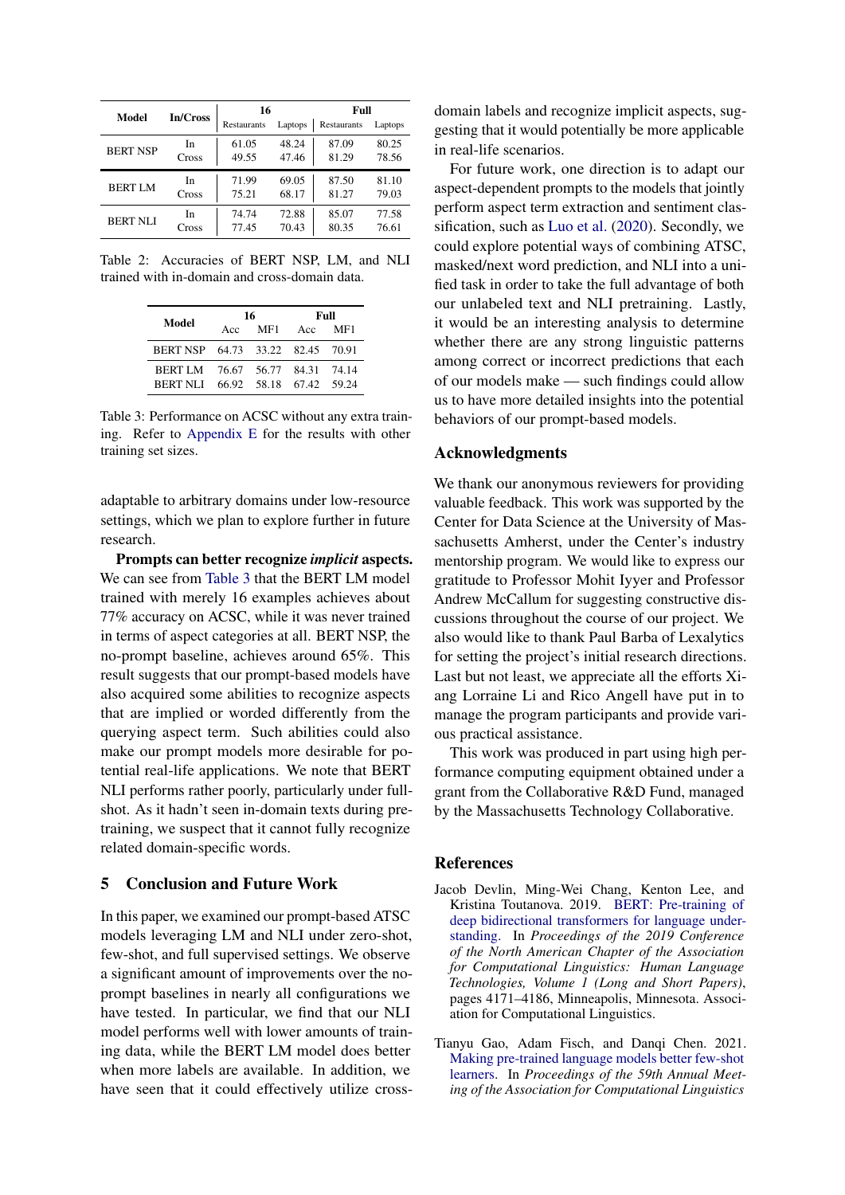<span id="page-4-2"></span>

| Model           | In/Cross | 16          |         | Full        |         |  |  |
|-----------------|----------|-------------|---------|-------------|---------|--|--|
|                 |          | Restaurants | Laptops | Restaurants | Laptops |  |  |
| <b>BERT NSP</b> | In       | 61.05       | 48.24   | 87.09       | 80.25   |  |  |
|                 | Cross    | 49.55       | 47.46   | 81.29       | 78.56   |  |  |
| <b>BERT LM</b>  | In       | 71.99       | 69.05   | 87.50       | 81.10   |  |  |
|                 | Cross    | 75.21       | 68.17   | 81.27       | 79.03   |  |  |
| <b>BERT NLI</b> | In       | 74.74       | 72.88   | 85.07       | 77.58   |  |  |
|                 | Cross    | 77.45       | 70.43   | 80.35       | 76.61   |  |  |

<span id="page-4-3"></span>Table 2: Accuracies of BERT NSP, LM, and NLI trained with in-domain and cross-domain data.

| Model                                                               |     | 16  | Full |     |  |  |
|---------------------------------------------------------------------|-----|-----|------|-----|--|--|
|                                                                     | Acc | MF1 | Acc  | MF1 |  |  |
| BERT NSP 64.73 33.22 82.45 70.91                                    |     |     |      |     |  |  |
| BERT LM 76.67 56.77 84.31 74.14<br>BERT NLI 66.92 58.18 67.42 59.24 |     |     |      |     |  |  |

Table 3: Performance on ACSC without any extra training. Refer to [Appendix E](#page-9-2) for the results with other training set sizes.

adaptable to arbitrary domains under low-resource settings, which we plan to explore further in future research.

Prompts can better recognize *implicit* aspects. We can see from [Table 3](#page-4-3) that the BERT LM model trained with merely 16 examples achieves about 77% accuracy on ACSC, while it was never trained in terms of aspect categories at all. BERT NSP, the no-prompt baseline, achieves around 65%. This result suggests that our prompt-based models have also acquired some abilities to recognize aspects that are implied or worded differently from the querying aspect term. Such abilities could also make our prompt models more desirable for potential real-life applications. We note that BERT NLI performs rather poorly, particularly under fullshot. As it hadn't seen in-domain texts during pretraining, we suspect that it cannot fully recognize related domain-specific words.

# 5 Conclusion and Future Work

In this paper, we examined our prompt-based ATSC models leveraging LM and NLI under zero-shot, few-shot, and full supervised settings. We observe a significant amount of improvements over the noprompt baselines in nearly all configurations we have tested. In particular, we find that our NLI model performs well with lower amounts of training data, while the BERT LM model does better when more labels are available. In addition, we have seen that it could effectively utilize crossdomain labels and recognize implicit aspects, suggesting that it would potentially be more applicable in real-life scenarios.

For future work, one direction is to adapt our aspect-dependent prompts to the models that jointly perform aspect term extraction and sentiment classification, such as [Luo et al.](#page-5-12) [\(2020\)](#page-5-12). Secondly, we could explore potential ways of combining ATSC, masked/next word prediction, and NLI into a unified task in order to take the full advantage of both our unlabeled text and NLI pretraining. Lastly, it would be an interesting analysis to determine whether there are any strong linguistic patterns among correct or incorrect predictions that each of our models make — such findings could allow us to have more detailed insights into the potential behaviors of our prompt-based models.

#### Acknowledgments

We thank our anonymous reviewers for providing valuable feedback. This work was supported by the Center for Data Science at the University of Massachusetts Amherst, under the Center's industry mentorship program. We would like to express our gratitude to Professor Mohit Iyyer and Professor Andrew McCallum for suggesting constructive discussions throughout the course of our project. We also would like to thank Paul Barba of Lexalytics for setting the project's initial research directions. Last but not least, we appreciate all the efforts Xiang Lorraine Li and Rico Angell have put in to manage the program participants and provide various practical assistance.

This work was produced in part using high performance computing equipment obtained under a grant from the Collaborative R&D Fund, managed by the Massachusetts Technology Collaborative.

#### References

- <span id="page-4-1"></span>Jacob Devlin, Ming-Wei Chang, Kenton Lee, and Kristina Toutanova. 2019. [BERT: Pre-training of](https://doi.org/10.18653/v1/N19-1423) [deep bidirectional transformers for language under](https://doi.org/10.18653/v1/N19-1423)[standing.](https://doi.org/10.18653/v1/N19-1423) In *Proceedings of the 2019 Conference of the North American Chapter of the Association for Computational Linguistics: Human Language Technologies, Volume 1 (Long and Short Papers)*, pages 4171–4186, Minneapolis, Minnesota. Association for Computational Linguistics.
- <span id="page-4-0"></span>Tianyu Gao, Adam Fisch, and Danqi Chen. 2021. [Making pre-trained language models better few-shot](https://doi.org/10.18653/v1/2021.acl-long.295) [learners.](https://doi.org/10.18653/v1/2021.acl-long.295) In *Proceedings of the 59th Annual Meeting of the Association for Computational Linguistics*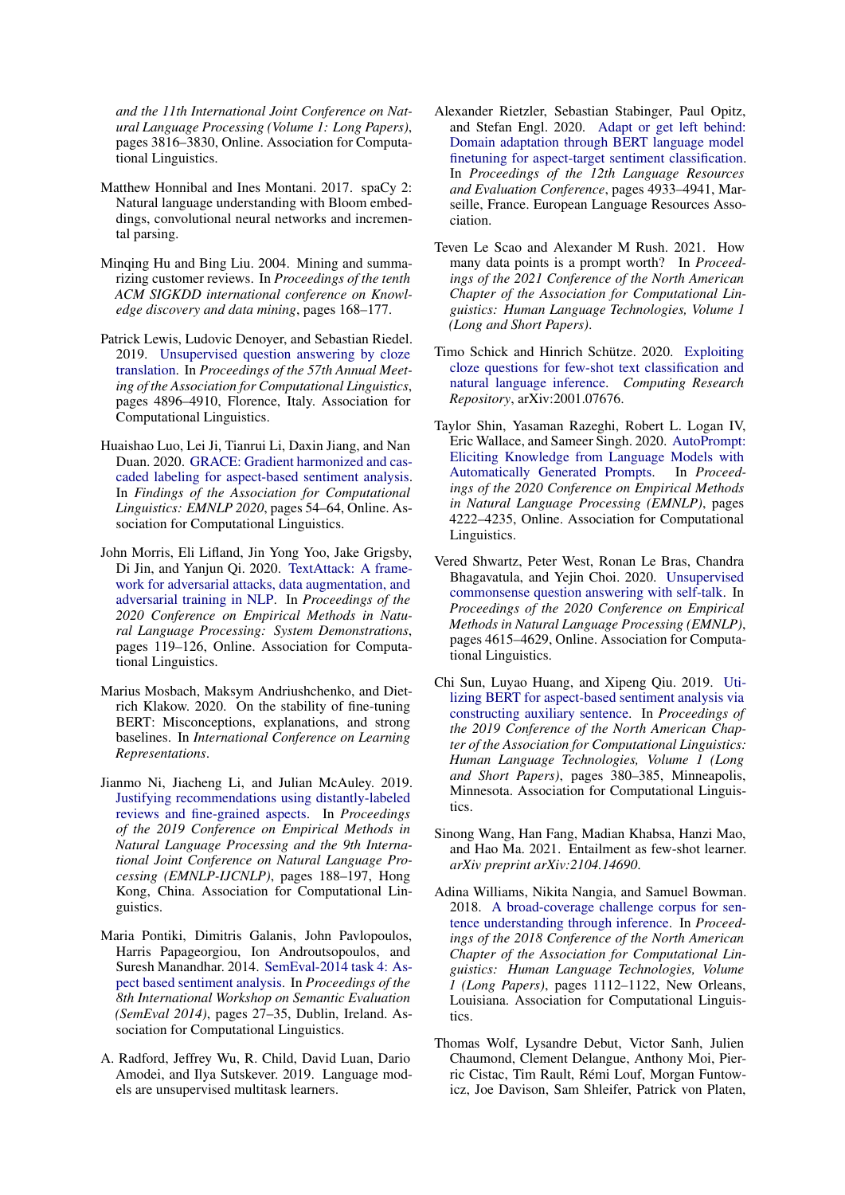*and the 11th International Joint Conference on Natural Language Processing (Volume 1: Long Papers)*, pages 3816–3830, Online. Association for Computational Linguistics.

- <span id="page-5-17"></span>Matthew Honnibal and Ines Montani. 2017. spaCy 2: Natural language understanding with Bloom embeddings, convolutional neural networks and incremental parsing.
- <span id="page-5-1"></span>Minqing Hu and Bing Liu. 2004. Mining and summarizing customer reviews. In *Proceedings of the tenth ACM SIGKDD international conference on Knowledge discovery and data mining*, pages 168–177.
- <span id="page-5-5"></span>Patrick Lewis, Ludovic Denoyer, and Sebastian Riedel. 2019. [Unsupervised question answering by cloze](https://doi.org/10.18653/v1/P19-1484) [translation.](https://doi.org/10.18653/v1/P19-1484) In *Proceedings of the 57th Annual Meeting of the Association for Computational Linguistics*, pages 4896–4910, Florence, Italy. Association for Computational Linguistics.
- <span id="page-5-12"></span>Huaishao Luo, Lei Ji, Tianrui Li, Daxin Jiang, and Nan Duan. 2020. [GRACE: Gradient harmonized and cas](https://doi.org/10.18653/v1/2020.findings-emnlp.6)[caded labeling for aspect-based sentiment analysis.](https://doi.org/10.18653/v1/2020.findings-emnlp.6) In *Findings of the Association for Computational Linguistics: EMNLP 2020*, pages 54–64, Online. Association for Computational Linguistics.
- <span id="page-5-15"></span>John Morris, Eli Lifland, Jin Yong Yoo, Jake Grigsby, Di Jin, and Yanjun Qi. 2020. [TextAttack: A frame](https://doi.org/10.18653/v1/2020.emnlp-demos.16)[work for adversarial attacks, data augmentation, and](https://doi.org/10.18653/v1/2020.emnlp-demos.16) [adversarial training in NLP.](https://doi.org/10.18653/v1/2020.emnlp-demos.16) In *Proceedings of the 2020 Conference on Empirical Methods in Natural Language Processing: System Demonstrations*, pages 119–126, Online. Association for Computational Linguistics.
- <span id="page-5-16"></span>Marius Mosbach, Maksym Andriushchenko, and Dietrich Klakow. 2020. On the stability of fine-tuning BERT: Misconceptions, explanations, and strong baselines. In *International Conference on Learning Representations*.
- <span id="page-5-13"></span>Jianmo Ni, Jiacheng Li, and Julian McAuley. 2019. [Justifying recommendations using distantly-labeled](https://doi.org/10.18653/v1/D19-1018) [reviews and fine-grained aspects.](https://doi.org/10.18653/v1/D19-1018) In *Proceedings of the 2019 Conference on Empirical Methods in Natural Language Processing and the 9th International Joint Conference on Natural Language Processing (EMNLP-IJCNLP)*, pages 188–197, Hong Kong, China. Association for Computational Linguistics.
- <span id="page-5-0"></span>Maria Pontiki, Dimitris Galanis, John Pavlopoulos, Harris Papageorgiou, Ion Androutsopoulos, and Suresh Manandhar. 2014. [SemEval-2014 task 4: As](https://doi.org/10.3115/v1/S14-2004)[pect based sentiment analysis.](https://doi.org/10.3115/v1/S14-2004) In *Proceedings of the 8th International Workshop on Semantic Evaluation (SemEval 2014)*, pages 27–35, Dublin, Ireland. Association for Computational Linguistics.
- <span id="page-5-4"></span>A. Radford, Jeffrey Wu, R. Child, David Luan, Dario Amodei, and Ilya Sutskever. 2019. Language models are unsupervised multitask learners.
- <span id="page-5-3"></span>Alexander Rietzler, Sebastian Stabinger, Paul Opitz, and Stefan Engl. 2020. [Adapt or get left behind:](https://www.aclweb.org/anthology/2020.lrec-1.607) [Domain adaptation through BERT language model](https://www.aclweb.org/anthology/2020.lrec-1.607) [finetuning for aspect-target sentiment classification.](https://www.aclweb.org/anthology/2020.lrec-1.607) In *Proceedings of the 12th Language Resources and Evaluation Conference*, pages 4933–4941, Marseille, France. European Language Resources Association.
- <span id="page-5-11"></span>Teven Le Scao and Alexander M Rush. 2021. How many data points is a prompt worth? In *Proceedings of the 2021 Conference of the North American Chapter of the Association for Computational Linguistics: Human Language Technologies, Volume 1 (Long and Short Papers)*.
- <span id="page-5-8"></span>Timo Schick and Hinrich Schütze. 2020. [Exploiting](http://arxiv.org/abs/2001.07676) [cloze questions for few-shot text classification and](http://arxiv.org/abs/2001.07676) [natural language inference.](http://arxiv.org/abs/2001.07676) *Computing Research Repository*, arXiv:2001.07676.
- <span id="page-5-7"></span>Taylor Shin, Yasaman Razeghi, Robert L. Logan IV, Eric Wallace, and Sameer Singh. 2020. [AutoPrompt:](https://doi.org/10.18653/v1/2020.emnlp-main.346) [Eliciting Knowledge from Language Models with](https://doi.org/10.18653/v1/2020.emnlp-main.346) [Automatically Generated Prompts.](https://doi.org/10.18653/v1/2020.emnlp-main.346) In *Proceedings of the 2020 Conference on Empirical Methods in Natural Language Processing (EMNLP)*, pages 4222–4235, Online. Association for Computational Linguistics.
- <span id="page-5-6"></span>Vered Shwartz, Peter West, Ronan Le Bras, Chandra Bhagavatula, and Yejin Choi. 2020. [Unsupervised](https://doi.org/10.18653/v1/2020.emnlp-main.373) [commonsense question answering with self-talk.](https://doi.org/10.18653/v1/2020.emnlp-main.373) In *Proceedings of the 2020 Conference on Empirical Methods in Natural Language Processing (EMNLP)*, pages 4615–4629, Online. Association for Computational Linguistics.
- <span id="page-5-2"></span>Chi Sun, Luyao Huang, and Xipeng Qiu. 2019. [Uti](https://doi.org/10.18653/v1/N19-1035)[lizing BERT for aspect-based sentiment analysis via](https://doi.org/10.18653/v1/N19-1035) [constructing auxiliary sentence.](https://doi.org/10.18653/v1/N19-1035) In *Proceedings of the 2019 Conference of the North American Chapter of the Association for Computational Linguistics: Human Language Technologies, Volume 1 (Long and Short Papers)*, pages 380–385, Minneapolis, Minnesota. Association for Computational Linguistics.
- <span id="page-5-9"></span>Sinong Wang, Han Fang, Madian Khabsa, Hanzi Mao, and Hao Ma. 2021. Entailment as few-shot learner. *arXiv preprint arXiv:2104.14690*.
- <span id="page-5-10"></span>Adina Williams, Nikita Nangia, and Samuel Bowman. 2018. [A broad-coverage challenge corpus for sen](https://doi.org/10.18653/v1/N18-1101)[tence understanding through inference.](https://doi.org/10.18653/v1/N18-1101) In *Proceedings of the 2018 Conference of the North American Chapter of the Association for Computational Linguistics: Human Language Technologies, Volume 1 (Long Papers)*, pages 1112–1122, New Orleans, Louisiana. Association for Computational Linguistics.
- <span id="page-5-14"></span>Thomas Wolf, Lysandre Debut, Victor Sanh, Julien Chaumond, Clement Delangue, Anthony Moi, Pierric Cistac, Tim Rault, Rémi Louf, Morgan Funtowicz, Joe Davison, Sam Shleifer, Patrick von Platen,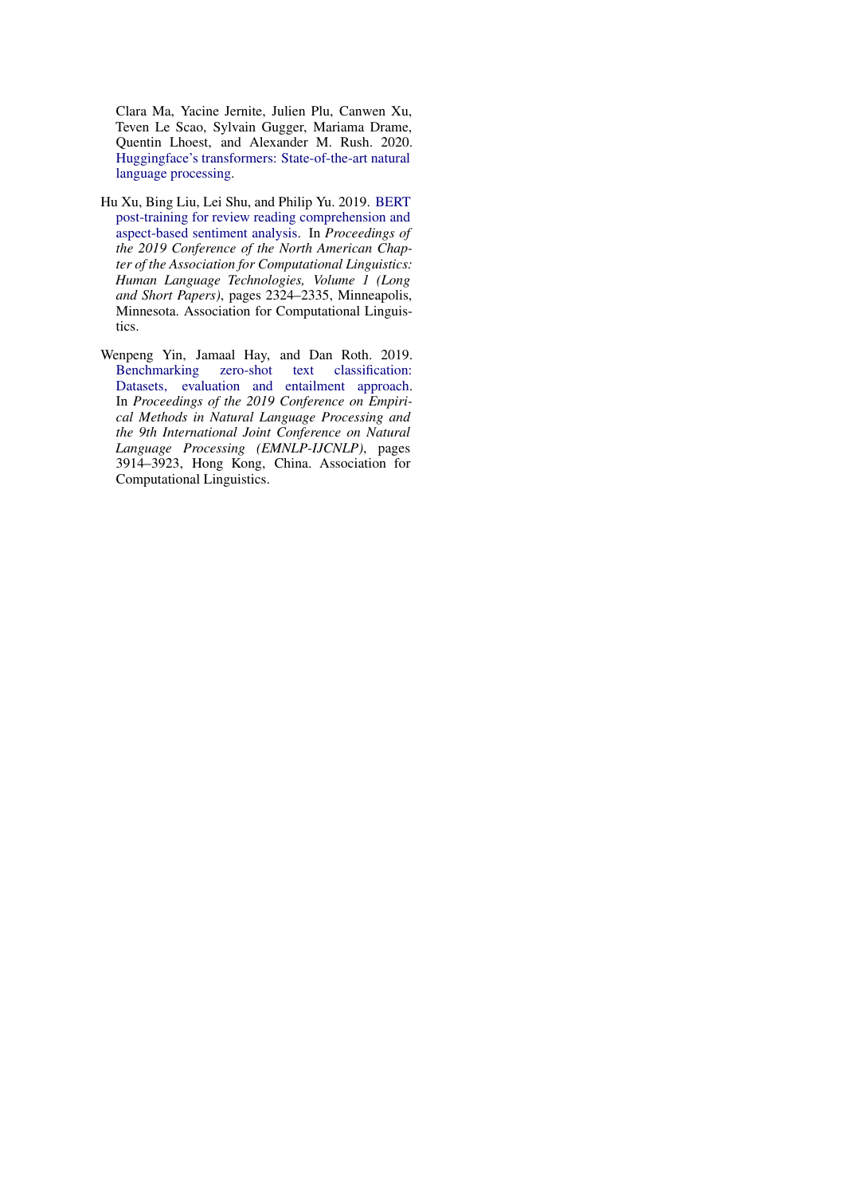Clara Ma, Yacine Jernite, Julien Plu, Canwen Xu, Teven Le Scao, Sylvain Gugger, Mariama Drame, Quentin Lhoest, and Alexander M. Rush. 2020. [Huggingface's transformers: State-of-the-art natural](http://arxiv.org/abs/1910.03771) [language processing.](http://arxiv.org/abs/1910.03771)

- <span id="page-6-0"></span>Hu Xu, Bing Liu, Lei Shu, and Philip Yu. 2019. [BERT](https://doi.org/10.18653/v1/N19-1242) [post-training for review reading comprehension and](https://doi.org/10.18653/v1/N19-1242) [aspect-based sentiment analysis.](https://doi.org/10.18653/v1/N19-1242) In *Proceedings of the 2019 Conference of the North American Chapter of the Association for Computational Linguistics: Human Language Technologies, Volume 1 (Long and Short Papers)*, pages 2324–2335, Minneapolis, Minnesota. Association for Computational Linguistics.
- <span id="page-6-1"></span>Wenpeng Yin, Jamaal Hay, and Dan Roth. 2019.<br>Benchmarking zero-shot text classification: zero-shot text classification: [Datasets, evaluation and entailment approach.](https://doi.org/10.18653/v1/D19-1404) In *Proceedings of the 2019 Conference on Empirical Methods in Natural Language Processing and the 9th International Joint Conference on Natural Language Processing (EMNLP-IJCNLP)*, pages 3914–3923, Hong Kong, China. Association for Computational Linguistics.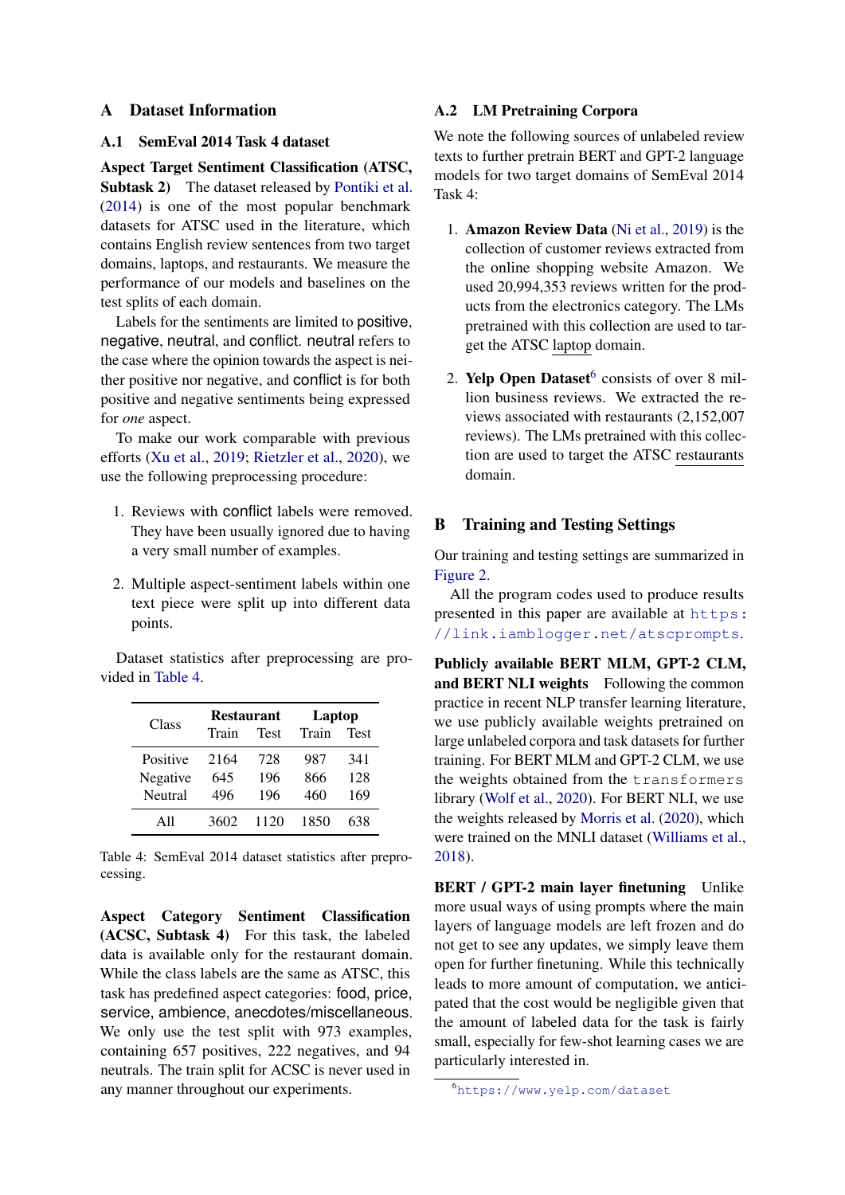# <span id="page-7-0"></span>A Dataset Information

#### A.1 SemEval 2014 Task 4 dataset

Aspect Target Sentiment Classification (ATSC, Subtask 2) The dataset released by [Pontiki et al.](#page-5-0) [\(2014\)](#page-5-0) is one of the most popular benchmark datasets for ATSC used in the literature, which contains English review sentences from two target domains, laptops, and restaurants. We measure the performance of our models and baselines on the test splits of each domain.

Labels for the sentiments are limited to positive, negative, neutral, and conflict. neutral refers to the case where the opinion towards the aspect is neither positive nor negative, and conflict is for both positive and negative sentiments being expressed for *one* aspect.

To make our work comparable with previous efforts [\(Xu et al.,](#page-6-0) [2019;](#page-6-0) [Rietzler et al.,](#page-5-3) [2020\)](#page-5-3), we use the following preprocessing procedure:

- 1. Reviews with conflict labels were removed. They have been usually ignored due to having a very small number of examples.
- 2. Multiple aspect-sentiment labels within one text piece were split up into different data points.

Dataset statistics after preprocessing are provided in [Table 4.](#page-7-1)

<span id="page-7-1"></span>

| Class    | <b>Restaurant</b> |             | Laptop |             |  |  |
|----------|-------------------|-------------|--------|-------------|--|--|
|          | Train             | <b>Test</b> | Train  | <b>Test</b> |  |  |
| Positive | 2164              | 728         | 987    | 341         |  |  |
| Negative | 645               | 196         | 866    | 128         |  |  |
| Neutral  | 496               | 196         | 460    | 169         |  |  |
| All      | 3602              | 1120        | 1850   | 638         |  |  |

Table 4: SemEval 2014 dataset statistics after preprocessing.

Aspect Category Sentiment Classification (ACSC, Subtask 4) For this task, the labeled data is available only for the restaurant domain. While the class labels are the same as ATSC, this task has predefined aspect categories: food, price, service, ambience, anecdotes/miscellaneous. We only use the test split with 973 examples, containing 657 positives, 222 negatives, and 94 neutrals. The train split for ACSC is never used in any manner throughout our experiments.

#### A.2 LM Pretraining Corpora

We note the following sources of unlabeled review texts to further pretrain BERT and GPT-2 language models for two target domains of SemEval 2014 Task 4:

- 1. Amazon Review Data [\(Ni et al.,](#page-5-13) [2019\)](#page-5-13) is the collection of customer reviews extracted from the online shopping website Amazon. We used 20,994,353 reviews written for the products from the electronics category. The LMs pretrained with this collection are used to target the ATSC laptop domain.
- 2. Yelp Open Dataset $6$  consists of over 8 million business reviews. We extracted the reviews associated with restaurants (2,152,007 reviews). The LMs pretrained with this collection are used to target the ATSC restaurants domain.

# B Training and Testing Settings

Our training and testing settings are summarized in [Figure 2.](#page-8-1)

All the program codes used to produce results presented in this paper are available at [https:](https://link.iamblogger.net/atscprompts) [//link.iamblogger.net/atscprompts](https://link.iamblogger.net/atscprompts).

Publicly available BERT MLM, GPT-2 CLM, and BERT NLI weights Following the common practice in recent NLP transfer learning literature, we use publicly available weights pretrained on large unlabeled corpora and task datasets for further training. For BERT MLM and GPT-2 CLM, we use the weights obtained from the transformers library [\(Wolf et al.,](#page-5-14) [2020\)](#page-5-14). For BERT NLI, we use the weights released by [Morris et al.](#page-5-15) [\(2020\)](#page-5-15), which were trained on the MNLI dataset [\(Williams et al.,](#page-5-10) [2018\)](#page-5-10).

BERT / GPT-2 main layer finetuning Unlike more usual ways of using prompts where the main layers of language models are left frozen and do not get to see any updates, we simply leave them open for further finetuning. While this technically leads to more amount of computation, we anticipated that the cost would be negligible given that the amount of labeled data for the task is fairly small, especially for few-shot learning cases we are particularly interested in.

<span id="page-7-2"></span><sup>6</sup><https://www.yelp.com/dataset>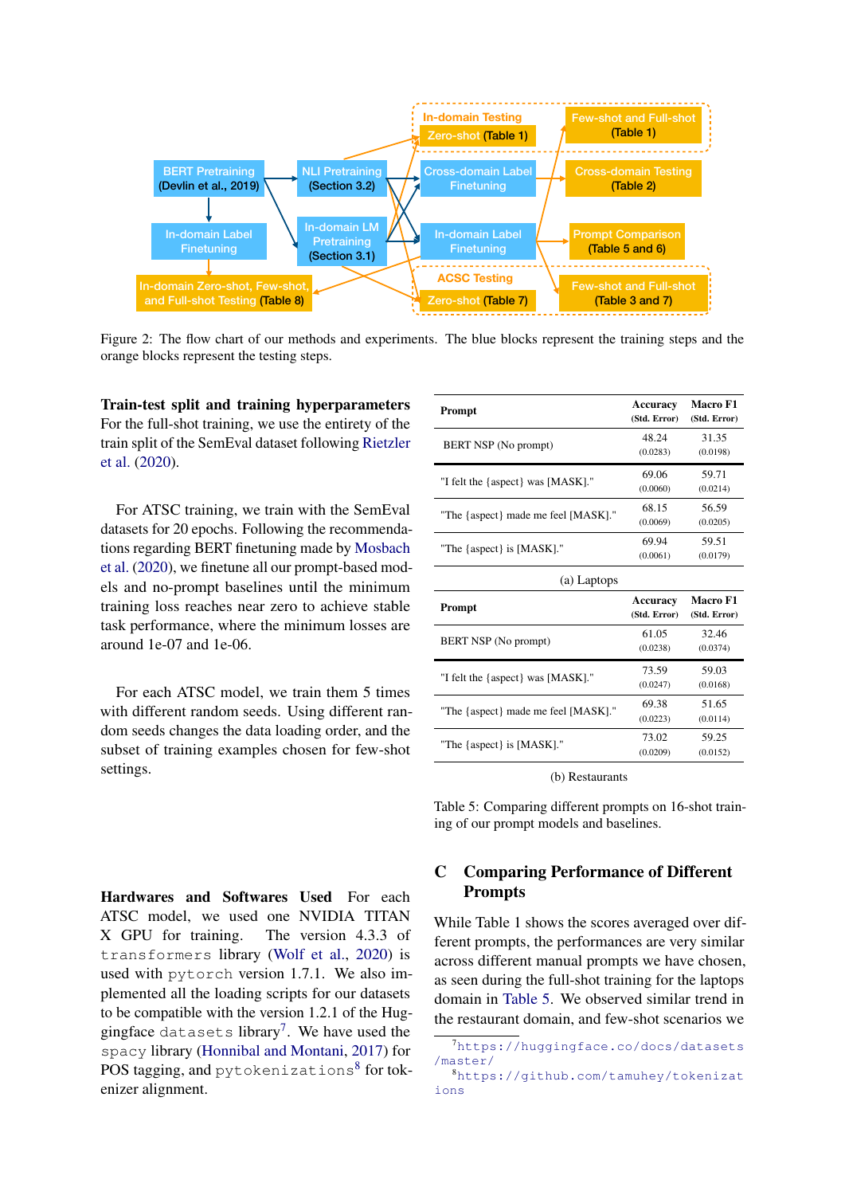<span id="page-8-1"></span>

Figure 2: The flow chart of our methods and experiments. The blue blocks represent the training steps and the orange blocks represent the testing steps.

Train-test split and training hyperparameters For the full-shot training, we use the entirety of the train split of the SemEval dataset following [Rietzler](#page-5-3) [et al.](#page-5-3) [\(2020\)](#page-5-3).

For ATSC training, we train with the SemEval datasets for 20 epochs. Following the recommendations regarding BERT finetuning made by [Mosbach](#page-5-16) [et al.](#page-5-16) [\(2020\)](#page-5-16), we finetune all our prompt-based models and no-prompt baselines until the minimum training loss reaches near zero to achieve stable task performance, where the minimum losses are around 1e-07 and 1e-06.

For each ATSC model, we train them 5 times with different random seeds. Using different random seeds changes the data loading order, and the subset of training examples chosen for few-shot settings.

<span id="page-8-4"></span>

| Prompt                              | Accuracy<br>(Std. Error)        | <b>Macro F1</b><br>(Std. Error) |
|-------------------------------------|---------------------------------|---------------------------------|
| BERT NSP (No prompt)                | 48.24<br>(0.0283)               | 31.35<br>(0.0198)               |
| "I felt the {aspect} was [MASK]."   | 69.06<br>(0.0060)               | 59.71<br>(0.0214)               |
| "The {aspect} made me feel [MASK]." | 68.15<br>(0.0069)               | 56.59<br>(0.0205)               |
| "The {aspect} is [MASK]."           | 69.94<br>(0.0061)               | 59.51<br>(0.0179)               |
| (a) Laptops                         |                                 |                                 |
|                                     |                                 |                                 |
| Prompt                              | <b>Accuracy</b><br>(Std. Error) | Macro F1<br>(Std. Error)        |
| BERT NSP (No prompt)                | 61.05<br>(0.0238)               | 32.46<br>(0.0374)               |
| "I felt the {aspect} was [MASK]."   | 73.59<br>(0.0247)               | 59.03<br>(0.0168)               |
| "The {aspect} made me feel [MASK]." | 69.38<br>(0.0223)               | 51.65<br>(0.0114)               |
| "The {aspect} is [MASK]."           | 73.02<br>(0.0209)               | 59.25<br>(0.0152)               |

(b) Restaurants

Table 5: Comparing different prompts on 16-shot training of our prompt models and baselines.

# <span id="page-8-0"></span>C Comparing Performance of Different Prompts

While Table 1 shows the scores averaged over different prompts, the performances are very similar across different manual prompts we have chosen, as seen during the full-shot training for the laptops domain in [Table 5.](#page-8-4) We observed similar trend in the restaurant domain, and few-shot scenarios we

Hardwares and Softwares Used For each ATSC model, we used one NVIDIA TITAN X GPU for training. The version 4.3.3 of transformers library [\(Wolf et al.,](#page-5-14) [2020\)](#page-5-14) is used with pytorch version 1.7.1. We also implemented all the loading scripts for our datasets to be compatible with the version 1.2.1 of the Hug-gingface datasets library<sup>[7](#page-8-2)</sup>. We have used the spacy library [\(Honnibal and Montani,](#page-5-17) [2017\)](#page-5-17) for  $\mathrm{POS}$  tagging, and <code>pytokenizations $^8$  $^8$  for</code> tokenizer alignment.

<span id="page-8-2"></span><sup>7</sup>[https://huggingface.co/docs/datasets](https://huggingface.co/docs/datasets/master/) [/master/](https://huggingface.co/docs/datasets/master/)

<span id="page-8-3"></span><sup>8</sup>[https://github.com/tamuhey/tokenizat](https://github.com/tamuhey/tokenizations) [ions](https://github.com/tamuhey/tokenizations)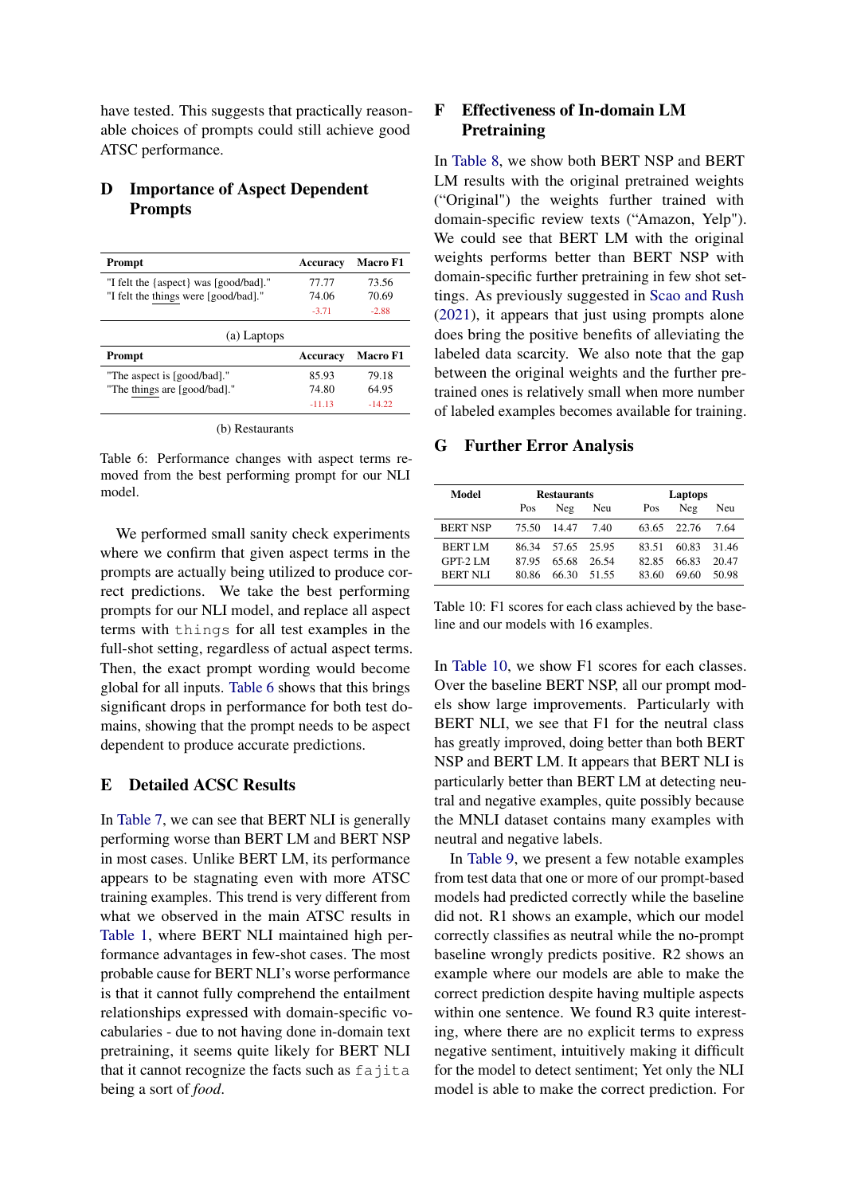have tested. This suggests that practically reasonable choices of prompts could still achieve good ATSC performance.

# D Importance of Aspect Dependent Prompts

<span id="page-9-3"></span>

| Prompt                                | Accuracy | <b>Macro F1</b> |
|---------------------------------------|----------|-----------------|
| "I felt the {aspect} was [good/bad]." | 77.77    | 73.56           |
| "I felt the things were [good/bad]."  | 74.06    | 70.69           |
|                                       | $-3.71$  | $-2.88$         |
| (a) Laptops                           |          |                 |
| Prompt                                | Accuracy | <b>Macro F1</b> |
| "The aspect is [good/bad]."           | 85.93    | 79.18           |
| "The things are [good/bad]."          | 74.80    | 64.95           |
|                                       | $-11.13$ | $-14.22$        |

Table 6: Performance changes with aspect terms removed from the best performing prompt for our NLI model.

We performed small sanity check experiments where we confirm that given aspect terms in the prompts are actually being utilized to produce correct predictions. We take the best performing prompts for our NLI model, and replace all aspect terms with things for all test examples in the full-shot setting, regardless of actual aspect terms. Then, the exact prompt wording would become global for all inputs. [Table 6](#page-9-3) shows that this brings significant drops in performance for both test domains, showing that the prompt needs to be aspect dependent to produce accurate predictions.

# <span id="page-9-2"></span>E Detailed ACSC Results

In [Table 7,](#page-10-0) we can see that BERT NLI is generally performing worse than BERT LM and BERT NSP in most cases. Unlike BERT LM, its performance appears to be stagnating even with more ATSC training examples. This trend is very different from what we observed in the main ATSC results in [Table 1,](#page-3-0) where BERT NLI maintained high performance advantages in few-shot cases. The most probable cause for BERT NLI's worse performance is that it cannot fully comprehend the entailment relationships expressed with domain-specific vocabularies - due to not having done in-domain text pretraining, it seems quite likely for BERT NLI that it cannot recognize the facts such as fajita being a sort of *food*.

# <span id="page-9-0"></span>F Effectiveness of In-domain LM **Pretraining**

In [Table 8,](#page-10-1) we show both BERT NSP and BERT LM results with the original pretrained weights ("Original") the weights further trained with domain-specific review texts ("Amazon, Yelp"). We could see that BERT LM with the original weights performs better than BERT NSP with domain-specific further pretraining in few shot settings. As previously suggested in [Scao and Rush](#page-5-11) [\(2021\)](#page-5-11), it appears that just using prompts alone does bring the positive benefits of alleviating the labeled data scarcity. We also note that the gap between the original weights and the further pretrained ones is relatively small when more number of labeled examples becomes available for training.

#### <span id="page-9-1"></span>G Further Error Analysis

<span id="page-9-4"></span>

| Model           |       | <b>Restaurants</b> |         | Laptops |       |       |  |  |  |
|-----------------|-------|--------------------|---------|---------|-------|-------|--|--|--|
|                 | Pos   | Neg                | Neu     | Pos     | Neg   | Neu   |  |  |  |
| <b>BERT NSP</b> | 75.50 | 1447               | 7.40    | 63.65   | 22.76 | 7 64  |  |  |  |
| <b>BERT LM</b>  | 86.34 | 57.65              | - 25.95 | 83.51   | 60.83 | 31.46 |  |  |  |
| GPT-2 LM        | 8795  | 65.68              | 26.54   | 82.85   | 66.83 | 20.47 |  |  |  |
| <b>BERT NLI</b> | 80.86 | 66.30              | 51.55   | 83.60   | 69.60 | 50.98 |  |  |  |

Table 10: F1 scores for each class achieved by the baseline and our models with 16 examples.

In [Table 10,](#page-9-4) we show F1 scores for each classes. Over the baseline BERT NSP, all our prompt models show large improvements. Particularly with BERT NLI, we see that F1 for the neutral class has greatly improved, doing better than both BERT NSP and BERT LM. It appears that BERT NLI is particularly better than BERT LM at detecting neutral and negative examples, quite possibly because the MNLI dataset contains many examples with neutral and negative labels.

In [Table 9,](#page-10-2) we present a few notable examples from test data that one or more of our prompt-based models had predicted correctly while the baseline did not. R1 shows an example, which our model correctly classifies as neutral while the no-prompt baseline wrongly predicts positive. R2 shows an example where our models are able to make the correct prediction despite having multiple aspects within one sentence. We found R3 quite interesting, where there are no explicit terms to express negative sentiment, intuitively making it difficult for the model to detect sentiment; Yet only the NLI model is able to make the correct prediction. For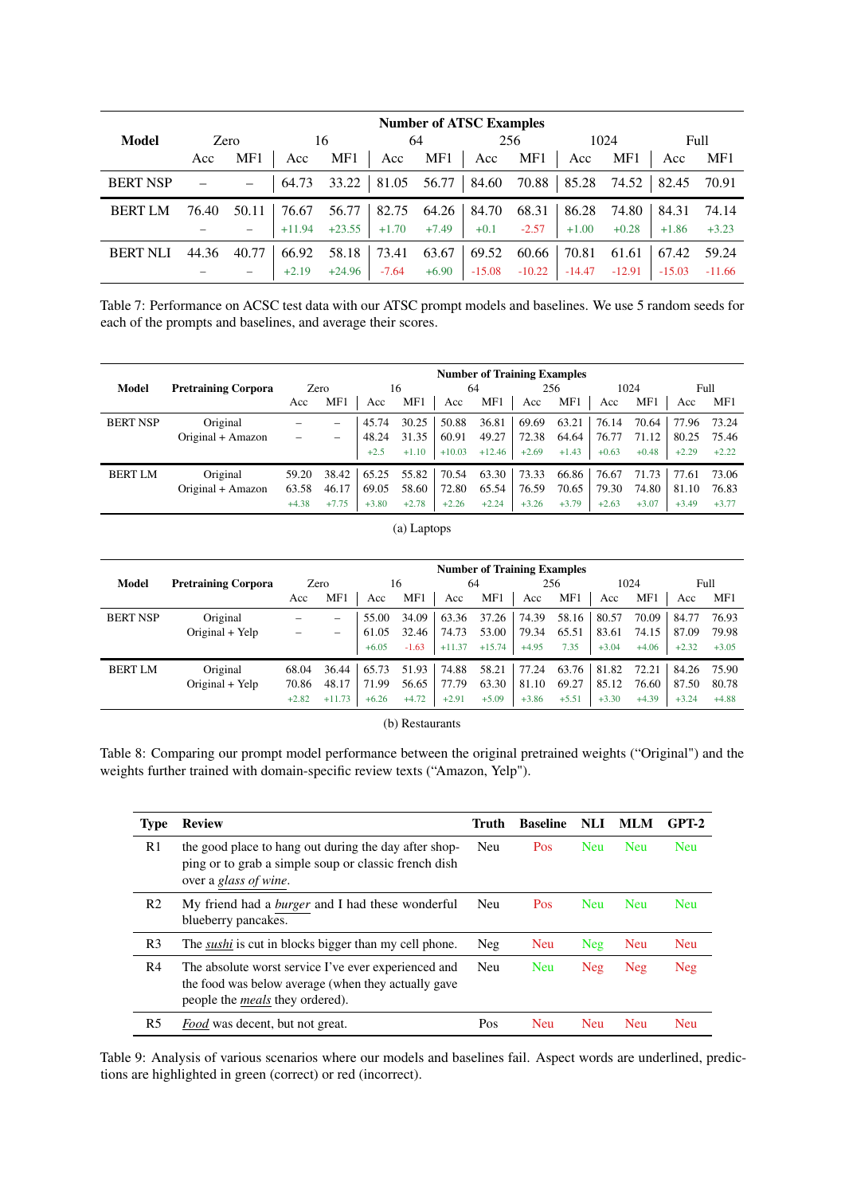<span id="page-10-0"></span>

| <b>Number of ATSC Examples</b> |            |       |          |          |         |               |          |          |          |                             |          |          |
|--------------------------------|------------|-------|----------|----------|---------|---------------|----------|----------|----------|-----------------------------|----------|----------|
| Model                          | Zero<br>16 |       |          | 64       |         | 256           |          | 1024     |          | Full                        |          |          |
|                                | Acc        | MF1   | Acc      | MF1      | Acc     | MF1           | Acc      | MF1      | Acc      | MF1                         | Acc      | MF1      |
| <b>BERT NSP</b>                |            |       | 64.73    | 33.22    |         | $81.05$ 56.77 | 84.60    |          |          | 70.88   85.28 74.52   82.45 |          | 70.91    |
| <b>BERT LM</b>                 | 76.40      | 50.11 | 76.67    | 56.77    | 82.75   | 64.26         | 84.70    | 68.31    | 86.28    | 74.80                       | 84.31    | 74.14    |
|                                |            |       | $+11.94$ | $+23.55$ | $+1.70$ | $+7.49$       | $+0.1$   | $-2.57$  | $+1.00$  | $+0.28$                     | $+1.86$  | $+3.23$  |
| <b>BERT NLI</b>                | 44.36      | 40.77 | 66.92    | 58.18    | 73.41   | 63.67         | 69.52    | 60.66    | 70.81    | 61.61                       | 67.42    | 59.24    |
|                                |            |       | $+2.19$  | $+24.96$ | $-7.64$ | $+6.90$       | $-15.08$ | $-10.22$ | $-14.47$ | $-12.91$                    | $-15.03$ | $-11.66$ |

Table 7: Performance on ACSC test data with our ATSC prompt models and baselines. We use 5 random seeds for each of the prompts and baselines, and average their scores.

<span id="page-10-1"></span>

|                 |                            | <b>Number of Training Examples</b> |                          |         |         |          |          |         |         |         |         |         |         |
|-----------------|----------------------------|------------------------------------|--------------------------|---------|---------|----------|----------|---------|---------|---------|---------|---------|---------|
| Model           | <b>Pretraining Corpora</b> |                                    | Zero<br>16               |         | 64      |          | 256      |         | 1024    |         | Full    |         |         |
|                 |                            | Acc                                | MF1                      | Acc     | MF1     | Acc      | MF1      | Acc     | MF1     | Acc     | MF1     | Acc     | MF1     |
| <b>BERT NSP</b> | Original                   | -                                  |                          | 45.74   | 30.25   | 50.88    | 36.81    | 69.69   | 63.21   | 76.14   | 70.64   | 77.96   | 73.24   |
|                 | Original + Amazon          |                                    | $\overline{\phantom{0}}$ | 48.24   | 31.35   | 60.91    | 49.27    | 72.38   | 64.64   | 76.77   | 71.12   | 80.25   | 75.46   |
|                 |                            |                                    |                          | $+2.5$  | $+1.10$ | $+10.03$ | $+12.46$ | $+2.69$ | $+1.43$ | $+0.63$ | $+0.48$ | $+2.29$ | $+2.22$ |
| <b>BERT LM</b>  | Original                   | 59.20                              | $38.42$                  | 65.25   | 55.82   | 70.54    | 63.30    | 73.33   | 66.86   | 76.67   | 71.73   | 77.61   | 73.06   |
|                 | Original + Amazon          | 63.58                              | 46.17                    | 69.05   | 58.60   | 72.80    | 65.54    | 76.59   | 70.65   | 79.30   | 74.80   | 81.10   | 76.83   |
|                 |                            | $+4.38$                            | $+7.75$                  | $+3.80$ | $+2.78$ | $+2.26$  | $+2.24$  | $+3.26$ | $+3.79$ | $+2.63$ | $+3.07$ | $+3.49$ | $+3.77$ |

(a) Laptops

|                 |                            | <b>Number of Training Examples</b> |                          |         |         |          |          |         |         |         |         |         |         |
|-----------------|----------------------------|------------------------------------|--------------------------|---------|---------|----------|----------|---------|---------|---------|---------|---------|---------|
| Model           | <b>Pretraining Corpora</b> |                                    | Zero                     | 16      |         | 64       |          | 256     |         | 1024    |         | Full    |         |
|                 |                            | Acc                                | MF1                      | Acc     | MF1     | Acc      | MF1      | Acc     | MF1     | Acc     | MF1     | Acc     | MF1     |
| <b>BERT NSP</b> | Original                   |                                    | $\overline{\phantom{0}}$ | 55.00   | 34.09   | 63.36    | 37.26    | 74.39   | 58.16   | 80.57   | 70.09   | 84.77   | 76.93   |
|                 | Original + Yelp            |                                    | $\overline{\phantom{0}}$ | 61.05   | 32.46   | 74.73    | 53.00    | 79.34   | 65.51   | 83.61   | 74.15   | 87.09   | 79.98   |
|                 |                            |                                    |                          | $+6.05$ | $-1.63$ | $+11.37$ | $+15.74$ | $+4.95$ | 7.35    | $+3.04$ | $+4.06$ | $+2.32$ | $+3.05$ |
| <b>BERT LM</b>  | Original                   | 68.04                              | 36.44                    | 65.73   | 51.93   | 74.88    | 58.21    | 77.24   | 63.76   | 81.82   | 72.21   | 84.26   | 75.90   |
|                 | Original + Yelp            | 70.86                              | 48.17                    | 71.99   | 56.65   | 77.79    | 63.30    | 81.10   | 69.27   | 85.12   | 76.60   | 87.50   | 80.78   |
|                 |                            | $+2.82$                            | $+11.73$                 | $+6.26$ | $+4.72$ | $+2.91$  | $+5.09$  | $+3.86$ | $+5.51$ | $+3.30$ | $+4.39$ | $+3.24$ | $+4.88$ |

### (b) Restaurants

Table 8: Comparing our prompt model performance between the original pretrained weights ("Original") and the weights further trained with domain-specific review texts ("Amazon, Yelp").

<span id="page-10-2"></span>

| <b>Type</b>    | <b>Review</b>                                                                                                                                         | Truth | <b>Baseline</b> | NLI        | MLM        | GPT-2      |
|----------------|-------------------------------------------------------------------------------------------------------------------------------------------------------|-------|-----------------|------------|------------|------------|
| R <sub>1</sub> | the good place to hang out during the day after shop-<br>ping or to grab a simple soup or classic french dish<br>over a glass of wine.                | Neu   | <b>Pos</b>      | <b>Neu</b> | <b>Neu</b> | <b>Neu</b> |
| R <sub>2</sub> | My friend had a burger and I had these wonderful<br>blueberry pancakes.                                                                               | Neu   | <b>Pos</b>      | <b>Neu</b> | <b>Neu</b> | <b>Neu</b> |
| R <sub>3</sub> | The <i>sushi</i> is cut in blocks bigger than my cell phone.                                                                                          | Neg   | Neu             | Neg        | <b>Neu</b> | <b>Neu</b> |
| R4             | The absolute worst service I've ever experienced and<br>the food was below average (when they actually gave<br>people the <i>meals</i> they ordered). | Neu   | <b>Neu</b>      | Neg        | <b>Neg</b> | <b>Neg</b> |
| R <sub>5</sub> | <i>Food</i> was decent, but not great.                                                                                                                | Pos   | <b>Neu</b>      | <b>Neu</b> | <b>Neu</b> | <b>Neu</b> |

Table 9: Analysis of various scenarios where our models and baselines fail. Aspect words are underlined, predictions are highlighted in green (correct) or red (incorrect).